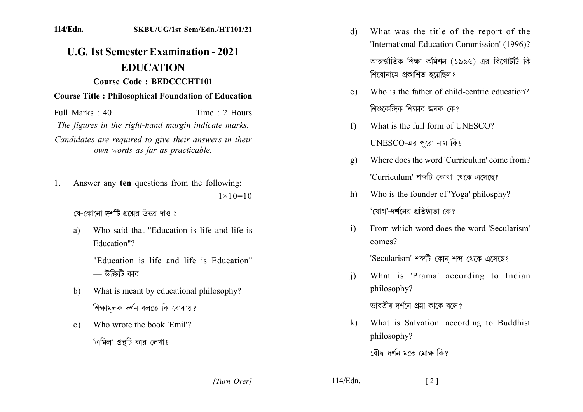#### **114/Edn. SKBU/UG/1st Sem/Edn./HT101/21**

# **U.G. 1st Semester Examination - 2021** EDUCATION

# **Course Code: BEDCCCHT101.**

### **Course Title: Philosophical Foundation of Education**

 $Full Marks: 40$  . Time  $\cdot$  2 Hours *The figures in the right-hand margin indicate marks.* Candidates are required to give their answers in their *own words as far as practicable.* 

1. Answer any ten questions from the following:  $1 \times 10 = 10$ 

## যে-কোনো **দশটি** প্রশ্নের উত্তর দাও ঃ

a) Who said that "Education is life and life is Education"?

> "Education is life and life is Education"  $-$  উক্তিটি কার।

- b) What is meant by educational philosophy? শিক্ষামূলক দর্শন বলতে কি বোঝায়?
- c) Who wrote the book 'Emil'? 'এমিল' গ্রন্থটি কার লেখা?
- d) What was the title of the report of the 'International Education Commission' (1996)? আন্তর্জাতিক শিক্ষা কমিশন (১৯৯৬) এর রিপোর্টটি কি শিরোনামে প্রকাশিত হয়েছিল?
- e) Who is the father of child-centric education? শিশুকেন্দ্রিক শিক্ষার জনক কে?
- f) What is the full form of UNESCO?  $UNESCO$ -এর পুরো নাম কি?
- g) Where does the word 'Curriculum' come from? 'Curriculum' শব্দটি কোথা থেকে এসেছে?
- h) Who is the founder of 'Yoga' philosphy? 'যোগ'-দর্শনের প্রতিষ্ঠাতা কে?
- i) From which word does the word 'Secularism' comes?

'Secularism' শব্দটি কোন শব্দ থেকে এসেছে?

- i) What is 'Prama' according to Indian philosophy? ভারতীয় দর্শনে প্রমা কাকে বলে?
- k) What is Salvation' according to Buddhist philosophy?

বৌদ্ধ দৰ্শন মতে মোক্ষ কিং

*]]]]]] ]]]]]* ........ ]]]]]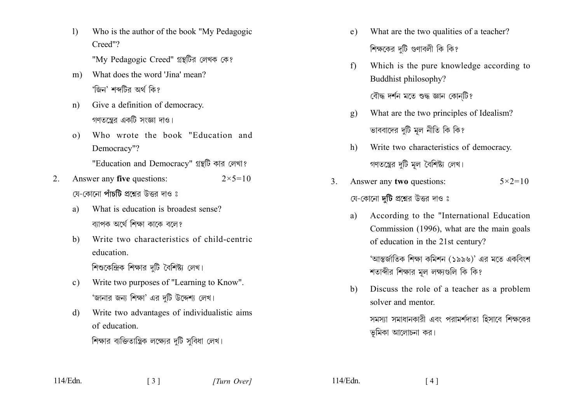- $1)$ Who is the author of the book "My Pedagogic Creed"? "My Pedagogic Creed" গ্রন্থটির লেখক কে?
- What does the word 'Jina' mean?  $m)$ 'জিন' শব্দটির অর্থ কি?
- Give a definition of democracy.  $n)$ গণতন্ত্রের একটি সংজ্ঞা দাও।
- Who wrote the book "Education and  $\Omega$ Democracy"?

"Education and Democracy" গ্রন্থটি কার লেখা?

- Answer any five questions: 2.  $2 \times 5 = 10$ যে-কোনো **পাঁচটি** প্ৰশ্নেব উত্তৰ দাও ঃ
	- What is education is broadest sense? a) ব্যাপক অৰ্থে শিক্ষা কাকে বলে?
	- $b)$ Write two characteristics of child-centric education.

শিশুকেন্দ্রিক শিক্ষার দটি বৈশিষ্ট্য লেখ।

- Write two purposes of "Learning to Know".  $c)$ 'জানার জন্য শিক্ষা' এর দটি উদ্দেশ্য লেখ।
- Write two advantages of individualistic aims  $\mathbf{d}$ of education

শিক্ষার ব্যক্তিতান্ত্রিক লক্ষ্যের দুটি সুবিধা লেখ।

 $\begin{bmatrix} 3 \end{bmatrix}$ 

- What are the two qualities of a teacher?  $e)$ শিক্ষকের দটি গুণাবলী কি কি?
- Which is the pure knowledge according to  $f$ Buddhist philosophy?

বৌদ্ধ দৰ্শন মতে শুদ্ধ জ্ঞান কোনটি?

- What are the two principles of Idealism?  $g)$ ভাববাদের দুটি মূল নীতি কি কি?
- $h)$ Write two characteristics of democracy. গণতন্ত্রের দুটি মূল বৈশিষ্ট্য লেখ।
- Answer any two questions:  $\mathcal{E}$  $5 \times 2 = 10$ যে-কোনো **দটি** প্রশ্নের উত্তর দাও ঃ
	- According to the "International Education a) Commission (1996), what are the main goals of education in the 21st century?

'আন্তর্জাতিক শিক্ষা কমিশন (১৯৯৬)' এর মতে একবিংশ শতাব্দীর শিক্ষার মল লক্ষ্যগুলি কি কি?

Discuss the role of a teacher as a problem b) solver and mentor.

> সমস্যা সমাধানকারী এবং পরামর্শদাতা হিসাবে শিক্ষকের ভূমিকা আলোচনা কর।

 $114/Edn$ .